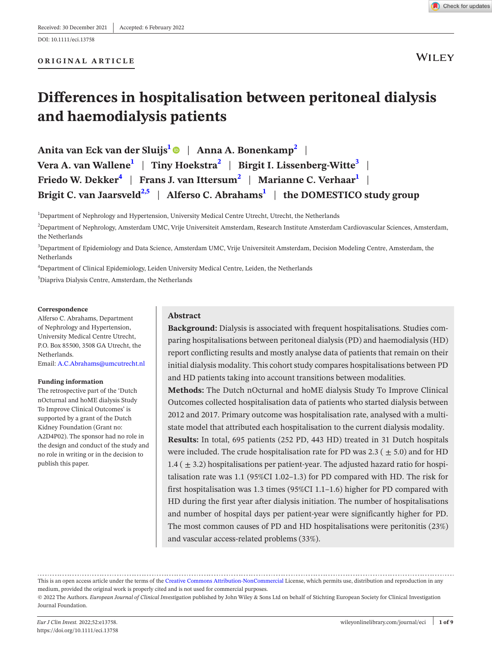

**WILEY** 

# **Differences in hospitalisation between peritoneal dialysis and haemodialysis patients**

**Anita van Eck van der Sluijs[1](#page-0-0)** | **Anna A. Bonenkamp[2](#page-0-1)** | **Vera A. van Wallene[1](#page-0-0)** | **Tiny Hoekstr[a2](#page-0-1)** | **Birgit I. Lissenberg-Witt[e3](#page-0-2)** | **Friedo W. Dekker[4](#page-0-3)** | **Frans J. van Ittersum[2](#page-0-1)** | **Marianne C. Verhaar[1](#page-0-0)** | **Brigit C. van Jaarsveld[2,5](#page-0-1)** | **Alferso C. Abraham[s1](#page-0-0)** | **the DOMESTICO study group**

<span id="page-0-0"></span><sup>1</sup>Department of Nephrology and Hypertension, University Medical Centre Utrecht, Utrecht, the Netherlands

<span id="page-0-1"></span>2 Department of Nephrology, Amsterdam UMC, Vrije Universiteit Amsterdam, Research Institute Amsterdam Cardiovascular Sciences, Amsterdam, the Netherlands

<span id="page-0-2"></span>3 Department of Epidemiology and Data Science, Amsterdam UMC, Vrije Universiteit Amsterdam, Decision Modeling Centre, Amsterdam, the Netherlands

<span id="page-0-3"></span>4 Department of Clinical Epidemiology, Leiden University Medical Centre, Leiden, the Netherlands

5 Diapriva Dialysis Centre, Amsterdam, the Netherlands

#### **Correspondence**

Alferso C. Abrahams, Department of Nephrology and Hypertension, University Medical Centre Utrecht, P.O. Box 85500, 3508 GA Utrecht, the Netherlands. Email: [A.C.Abrahams@umcutrecht.nl](mailto:A.C.Abrahams@umcutrecht.nl)

#### **Funding information**

The retrospective part of the 'Dutch nOcturnal and hoME dialysis Study To Improve Clinical Outcomes' is supported by a grant of the Dutch Kidney Foundation (Grant no: A2D4P02). The sponsor had no role in the design and conduct of the study and no role in writing or in the decision to publish this paper.

## **Abstract**

**Background:** Dialysis is associated with frequent hospitalisations. Studies comparing hospitalisations between peritoneal dialysis (PD) and haemodialysis (HD) report conflicting results and mostly analyse data of patients that remain on their initial dialysis modality. This cohort study compares hospitalisations between PD and HD patients taking into account transitions between modalities.

**Methods:** The Dutch nOcturnal and hoME dialysis Study To Improve Clinical Outcomes collected hospitalisation data of patients who started dialysis between 2012 and 2017. Primary outcome was hospitalisation rate, analysed with a multistate model that attributed each hospitalisation to the current dialysis modality.

**Results:** In total, 695 patients (252 PD, 443 HD) treated in 31 Dutch hospitals were included. The crude hospitalisation rate for PD was 2.3 ( $\pm$  5.0) and for HD  $1.4$  ( $\pm$  3.2) hospitalisations per patient-year. The adjusted hazard ratio for hospitalisation rate was 1.1 (95%CI 1.02–1.3) for PD compared with HD. The risk for first hospitalisation was 1.3 times (95%CI 1.1–1.6) higher for PD compared with HD during the first year after dialysis initiation. The number of hospitalisations and number of hospital days per patient-year were significantly higher for PD. The most common causes of PD and HD hospitalisations were peritonitis (23%) and vascular access-related problems (33%).

This is an open access article under the terms of the Creative Commons [Attribution-NonCommercial](http://creativecommons.org/licenses/by-nc/4.0/) License, which permits use, distribution and reproduction in any medium, provided the original work is properly cited and is not used for commercial purposes. © 2022 The Authors. *European Journal of Clinical Investigation* published by John Wiley & Sons Ltd on behalf of Stichting European Society for Clinical Investigation

Journal Foundation.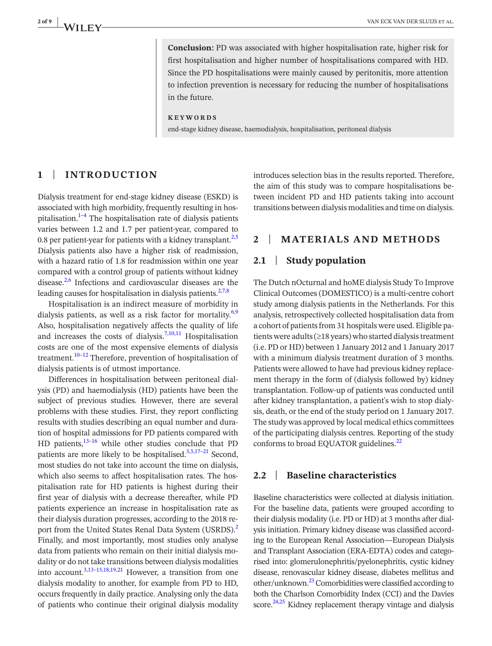**Conclusion:** PD was associated with higher hospitalisation rate, higher risk for first hospitalisation and higher number of hospitalisations compared with HD. Since the PD hospitalisations were mainly caused by peritonitis, more attention to infection prevention is necessary for reducing the number of hospitalisations in the future.

#### **KEYWORDS**

end-stage kidney disease, haemodialysis, hospitalisation, peritoneal dialysis

# **1** | **INTRODUCTION**

Dialysis treatment for end-stage kidney disease (ESKD) is associated with high morbidity, frequently resulting in hospitalisation.<sup>1-4</sup> The hospitalisation rate of dialysis patients varies between 1.2 and 1.7 per patient-year, compared to 0.8 per patient-year for patients with a kidney transplant. $2.5$ Dialysis patients also have a higher risk of readmission, with a hazard ratio of 1.8 for readmission within one year compared with a control group of patients without kidney disease.[2,6](#page-7-1) Infections and cardiovascular diseases are the leading causes for hospitalisation in dialysis patients. $27,8$ 

Hospitalisation is an indirect measure of morbidity in dialysis patients, as well as a risk factor for mortality. $6,9$ Also, hospitalisation negatively affects the quality of life and increases the costs of dialysis.<sup>[7,10,11](#page-7-3)</sup> Hospitalisation costs are one of the most expensive elements of dialysis treatment.<sup>[10–12](#page-7-4)</sup> Therefore, prevention of hospitalisation of dialysis patients is of utmost importance.

Differences in hospitalisation between peritoneal dialysis (PD) and haemodialysis (HD) patients have been the subject of previous studies. However, there are several problems with these studies. First, they report conflicting results with studies describing an equal number and duration of hospital admissions for PD patients compared with HD patients, $13-16$  while other studies conclude that PD patients are more likely to be hospitalised. $3,5,17-21$  Second, most studies do not take into account the time on dialysis, which also seems to affect hospitalisation rates. The hospitalisation rate for HD patients is highest during their first year of dialysis with a decrease thereafter, while PD patients experience an increase in hospitalisation rate as their dialysis duration progresses, according to the 2018 report from the United States Renal Data System (USRDS).<sup>2</sup> Finally, and most importantly, most studies only analyse data from patients who remain on their initial dialysis modality or do not take transitions between dialysis modalities into account[.3,13–15,18,19,21](#page-7-6) However, a transition from one dialysis modality to another, for example from PD to HD, occurs frequently in daily practice. Analysing only the data of patients who continue their original dialysis modality

introduces selection bias in the results reported. Therefore, the aim of this study was to compare hospitalisations between incident PD and HD patients taking into account transitions between dialysis modalities and time on dialysis.

# **2** | **MATERIALS AND METHODS**

# **2.1** | **Study population**

The Dutch nOcturnal and hoME dialysis Study To Improve Clinical Outcomes (DOMESTICO) is a multi-centre cohort study among dialysis patients in the Netherlands. For this analysis, retrospectively collected hospitalisation data from a cohort of patients from 31 hospitals were used. Eligible patients were adults ( $\geq$ 18 years) who started dialysis treatment (i.e. PD or HD) between 1 January 2012 and 1 January 2017 with a minimum dialysis treatment duration of 3 months. Patients were allowed to have had previous kidney replacement therapy in the form of (dialysis followed by) kidney transplantation. Follow-up of patients was conducted until after kidney transplantation, a patient's wish to stop dialysis, death, or the end of the study period on 1 January 2017. The study was approved by local medical ethics committees of the participating dialysis centres. Reporting of the study conforms to broad EQUATOR guidelines.<sup>[22](#page-8-0)</sup>

# **2.2** | **Baseline characteristics**

Baseline characteristics were collected at dialysis initiation. For the baseline data, patients were grouped according to their dialysis modality (i.e. PD or HD) at 3 months after dialysis initiation. Primary kidney disease was classified according to the European Renal Association—European Dialysis and Transplant Association (ERA-EDTA) codes and categorised into: glomerulonephritis/pyelonephritis, cystic kidney disease, renovascular kidney disease, diabetes mellitus and other/unknown.<sup>23</sup> Comorbidities were classified according to both the Charlson Comorbidity Index (CCI) and the Davies score. $24,25$  Kidney replacement therapy vintage and dialysis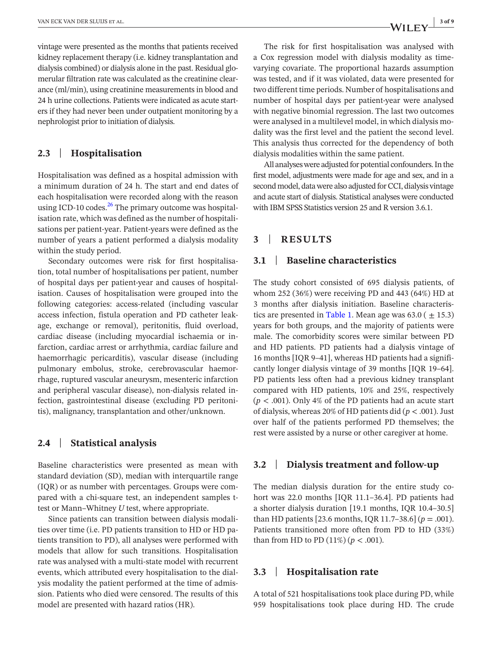vintage were presented as the months that patients received kidney replacement therapy (i.e. kidney transplantation and dialysis combined) or dialysis alone in the past. Residual glomerular filtration rate was calculated as the creatinine clearance (ml/min), using creatinine measurements in blood and 24 h urine collections. Patients were indicated as acute starters if they had never been under outpatient monitoring by a nephrologist prior to initiation of dialysis.

# **2.3** | **Hospitalisation**

Hospitalisation was defined as a hospital admission with a minimum duration of 24 h. The start and end dates of each hospitalisation were recorded along with the reason using ICD-10 codes. $^{26}$  $^{26}$  $^{26}$  The primary outcome was hospitalisation rate, which was defined as the number of hospitalisations per patient-year. Patient-years were defined as the number of years a patient performed a dialysis modality within the study period.

Secondary outcomes were risk for first hospitalisation, total number of hospitalisations per patient, number of hospital days per patient-year and causes of hospitalisation. Causes of hospitalisation were grouped into the following categories: access-related (including vascular access infection, fistula operation and PD catheter leakage, exchange or removal), peritonitis, fluid overload, cardiac disease (including myocardial ischaemia or infarction, cardiac arrest or arrhythmia, cardiac failure and haemorrhagic pericarditis), vascular disease (including pulmonary embolus, stroke, cerebrovascular haemorrhage, ruptured vascular aneurysm, mesenteric infarction and peripheral vascular disease), non-dialysis related infection, gastrointestinal disease (excluding PD peritonitis), malignancy, transplantation and other/unknown.

# **2.4** | **Statistical analysis**

Baseline characteristics were presented as mean with standard deviation (SD), median with interquartile range (IQR) or as number with percentages. Groups were compared with a chi-square test, an independent samples ttest or Mann–Whitney *U* test, where appropriate.

Since patients can transition between dialysis modalities over time (i.e. PD patients transition to HD or HD patients transition to PD), all analyses were performed with models that allow for such transitions. Hospitalisation rate was analysed with a multi-state model with recurrent events, which attributed every hospitalisation to the dialysis modality the patient performed at the time of admission. Patients who died were censored. The results of this model are presented with hazard ratios (HR).

The risk for first hospitalisation was analysed with a Cox regression model with dialysis modality as timevarying covariate. The proportional hazards assumption was tested, and if it was violated, data were presented for two different time periods. Number of hospitalisations and number of hospital days per patient-year were analysed with negative binomial regression. The last two outcomes were analysed in a multilevel model, in which dialysis modality was the first level and the patient the second level. This analysis thus corrected for the dependency of both dialysis modalities within the same patient.

All analyses were adjusted for potential confounders. In the first model, adjustments were made for age and sex, and in a second model, data were also adjusted for CCI, dialysis vintage and acute start of dialysis. Statistical analyses were conducted with IBM SPSS Statistics version 25 and R version 3.6.1.

# **3** | **RESULTS**

# **3.1** | **Baseline characteristics**

The study cohort consisted of 695 dialysis patients, of whom 252 (36%) were receiving PD and 443 (64%) HD at 3 months after dialysis initiation. Baseline characteris-tics are presented in Table [1.](#page-3-0) Mean age was  $63.0$  ( $\pm$  15.3) years for both groups, and the majority of patients were male. The comorbidity scores were similar between PD and HD patients. PD patients had a dialysis vintage of 16 months [IQR 9–41], whereas HD patients had a significantly longer dialysis vintage of 39 months [IQR 19–64]. PD patients less often had a previous kidney transplant compared with HD patients, 10% and 25%, respectively  $(p < .001)$ . Only 4% of the PD patients had an acute start of dialysis, whereas 20% of HD patients did (*p* < .001). Just over half of the patients performed PD themselves; the rest were assisted by a nurse or other caregiver at home.

## **3.2** | **Dialysis treatment and follow-up**

The median dialysis duration for the entire study cohort was 22.0 months [IQR 11.1–36.4]. PD patients had a shorter dialysis duration [19.1 months, IQR 10.4–30.5] than HD patients [23.6 months, IQR 11.7–38.6] ( $p = .001$ ). Patients transitioned more often from PD to HD (33%) than from HD to PD  $(11\%) (p < .001)$ .

## **3.3** | **Hospitalisation rate**

A total of 521 hospitalisations took place during PD, while 959 hospitalisations took place during HD. The crude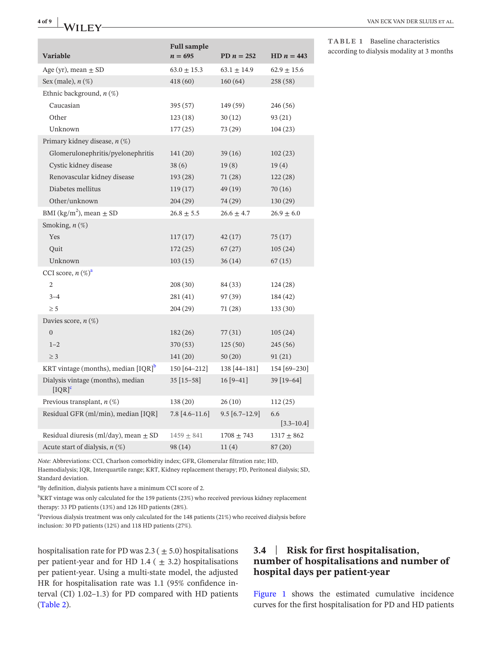|                                                           | <b>Full sample</b> |                    |                       |
|-----------------------------------------------------------|--------------------|--------------------|-----------------------|
| <b>Variable</b>                                           | $n=695$            | PD $n = 252$       | HD $n = 443$          |
| Age (yr), mean $\pm$ SD                                   | $63.0 \pm 15.3$    | $63.1 \pm 14.9$    | $62.9 \pm 15.6$       |
| Sex (male), $n$ $(\%)$                                    | 418 (60)           | 160(64)            | 258 (58)              |
| Ethnic background, $n$ (%)                                |                    |                    |                       |
| Caucasian                                                 | 395 (57)           | 149 (59)           | 246 (56)              |
| Other                                                     | 123(18)            | 30(12)             | 93(21)                |
| Unknown                                                   | 177 (25)           | 73 (29)            | 104(23)               |
| Primary kidney disease, $n$ (%)                           |                    |                    |                       |
| Glomerulonephritis/pyelonephritis                         | 141 (20)           | 39(16)             | 102(23)               |
| Cystic kidney disease                                     | 38(6)              | 19(8)              | 19(4)                 |
| Renovascular kidney disease                               | 193 (28)           | 71(28)             | 122(28)               |
| Diabetes mellitus                                         | 119(17)            | 49 (19)            | 70(16)                |
| Other/unknown                                             | 204 (29)           | 74 (29)            | 130(29)               |
| BMI (kg/m <sup>2</sup> ), mean $\pm$ SD                   | $26.8 \pm 5.5$     | $26.6 \pm 4.7$     | $26.9\pm6.0$          |
| Smoking, $n$ $(\%)$                                       |                    |                    |                       |
| Yes                                                       | 117(17)            | 42(17)             | 75(17)                |
| Quit                                                      | 172(25)            | 67(27)             | 105(24)               |
| Unknown                                                   | 103(15)            | 36 (14)            | 67(15)                |
| CCI score, $n \left(\% \right)^a$                         |                    |                    |                       |
| $\mathbf{2}$                                              | 208 (30)           | 84 (33)            | 124(28)               |
| $3 - 4$                                                   | 281(41)            | 97 (39)            | 184 (42)              |
| $\geq$ 5                                                  | 204 (29)           | 71 (28)            | 133(30)               |
| Davies score, $n$ $(\%)$                                  |                    |                    |                       |
| $\overline{0}$                                            | 182 (26)           | 77 (31)            | 105(24)               |
| $1 - 2$                                                   | 370 (53)           | 125(50)            | 245(56)               |
| $\geq$ 3                                                  | 141 (20)           | 50(20)             | 91(21)                |
| KRT vintage (months), median $[IQR]$ <sup>b</sup>         | 150 [64-212]       | 138 [44-181]       | 154 [69-230]          |
| Dialysis vintage (months), median<br>$[IQR]$ <sup>c</sup> | $35[15-58]$        | $16[9-41]$         | 39 [19-64]            |
| Previous transplant, $n$ (%)                              | 138 (20)           | 26(10)             | 112(25)               |
| Residual GFR (ml/min), median [IQR]                       | $7.8 [4.6 - 11.6]$ | $9.5 [6.7 - 12.9]$ | 6.6<br>$[3.3 - 10.4]$ |
| Residual diuresis (ml/day), mean $\pm$ SD                 | $1459 \pm 841$     | $1708 + 743$       | $1317 + 862$          |
| Acute start of dialysis, $n$ (%)                          | 98 (14)            | 11(4)              | 87 (20)               |

<span id="page-3-0"></span>**TABLE 1** Baseline characteristics according to dialysis modality at 3 months

*Note:* Abbreviations: CCI, Charlson comorbidity index; GFR, Glomerular filtration rate; HD, Haemodialysis; IQR, Interquartile range; KRT, Kidney replacement therapy; PD, Peritoneal dialysis; SD, Standard deviation.

<span id="page-3-1"></span>a By definition, dialysis patients have a minimum CCI score of 2.

<span id="page-3-2"></span> $^{\rm b}$ KRT vintage was only calculated for the 159 patients (23%) who received previous kidney replacement therapy: 33 PD patients (13%) and 126 HD patients (28%).

<span id="page-3-3"></span><sup>c</sup>Previous dialysis treatment was only calculated for the 148 patients (21%) who received dialysis before inclusion: 30 PD patients (12%) and 118 HD patients (27%).

hospitalisation rate for PD was  $2.3 (\pm 5.0)$  hospitalisations per patient-year and for HD 1.4 ( $\pm$  3.2) hospitalisations per patient-year. Using a multi-state model, the adjusted HR for hospitalisation rate was 1.1 (95% confidence interval (CI) 1.02–1.3) for PD compared with HD patients (Table [2](#page-4-0)).

# **3.4** | **Risk for first hospitalisation, number of hospitalisations and number of hospital days per patient-year**

Figure [1](#page-4-1) shows the estimated cumulative incidence curves for the first hospitalisation for PD and HD patients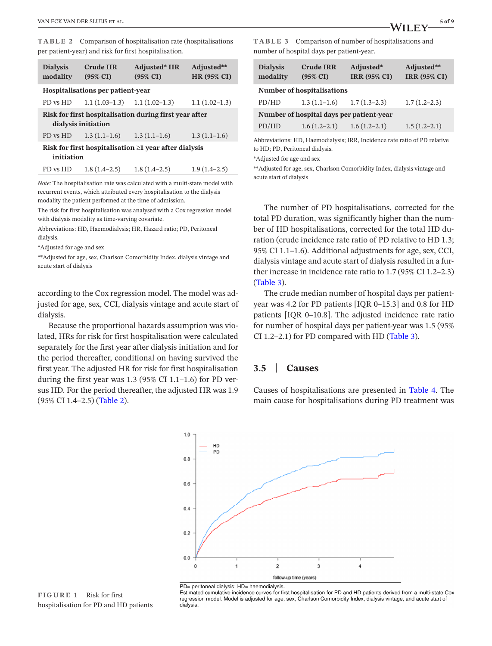<span id="page-4-0"></span>**TABLE 2** Comparison of hospitalisation rate (hospitalisations per patient-year) and risk for first hospitalisation.

| <b>Dialysis</b><br>modality                                                   | <b>Crude HR</b><br>$(95\% \text{ CI})$ | <b>Adjusted*</b> HR<br>$(95\% \text{ CI})$ | Adjusted**<br><b>HR (95% CI)</b> |  |  |
|-------------------------------------------------------------------------------|----------------------------------------|--------------------------------------------|----------------------------------|--|--|
| Hospitalisations per patient-year                                             |                                        |                                            |                                  |  |  |
| PD vs HD                                                                      | $1.1(1.03-1.3)$ $1.1(1.02-1.3)$        |                                            | $1.1(1.02-1.3)$                  |  |  |
| Risk for first hospitalisation during first year after<br>dialysis initiation |                                        |                                            |                                  |  |  |
| PD vs HD                                                                      | $1.3(1.1-1.6)$                         | $1.3(1.1-1.6)$                             | $1.3(1.1-1.6)$                   |  |  |
| Risk for first hospitalisation $\geq 1$ year after dialysis<br>initiation     |                                        |                                            |                                  |  |  |
| PD vs HD                                                                      | $1.8(1.4-2.5)$                         | $1.8(1.4-2.5)$                             | $1.9(1.4-2.5)$                   |  |  |

*Note:* The hospitalisation rate was calculated with a multi-state model with recurrent events, which attributed every hospitalisation to the dialysis modality the patient performed at the time of admission.

The risk for first hospitalisation was analysed with a Cox regression model with dialysis modality as time-varying covariate.

Abbreviations: HD, Haemodialysis; HR, Hazard ratio; PD, Peritoneal dialysis.

\*Adjusted for age and sex

\*\*Adjusted for age, sex, Charlson Comorbidity Index, dialysis vintage and acute start of dialysis

according to the Cox regression model. The model was adjusted for age, sex, CCI, dialysis vintage and acute start of dialysis.

Because the proportional hazards assumption was violated, HRs for risk for first hospitalisation were calculated separately for the first year after dialysis initiation and for the period thereafter, conditional on having survived the first year. The adjusted HR for risk for first hospitalisation during the first year was 1.3 (95% CI 1.1–1.6) for PD versus HD. For the period thereafter, the adjusted HR was 1.9 (95% CI 1.4–2.5) (Table [2](#page-4-0)).

<span id="page-4-2"></span>**TABLE 3** Comparison of number of hospitalisations and number of hospital days per patient-year.

| <b>Dialysis</b><br>modality              | <b>Crude IRR</b><br>$(95\% \text{ CI})$ | Adjusted*<br><b>IRR (95% CI)</b> | Adjusted**<br><b>IRR (95% CI)</b> |  |  |
|------------------------------------------|-----------------------------------------|----------------------------------|-----------------------------------|--|--|
| <b>Number of hospitalisations</b>        |                                         |                                  |                                   |  |  |
| PD/HD                                    | $1.3(1.1-1.6)$                          | $1.7(1.3-2.3)$                   | $1.7(1.2-2.3)$                    |  |  |
| Number of hospital days per patient-year |                                         |                                  |                                   |  |  |
| PD/HD                                    | $1.6(1.2-2.1)$                          | $1.6(1.2-2.1)$                   | $1.5(1.2-2.1)$                    |  |  |

Abbreviations: HD, Haemodialysis; IRR, Incidence rate ratio of PD relative to HD; PD, Peritoneal dialysis.

\*Adjusted for age and sex

\*\*Adjusted for age, sex, Charlson Comorbidity Index, dialysis vintage and acute start of dialysis

The number of PD hospitalisations, corrected for the total PD duration, was significantly higher than the number of HD hospitalisations, corrected for the total HD duration (crude incidence rate ratio of PD relative to HD 1.3; 95% CI 1.1–1.6). Additional adjustments for age, sex, CCI, dialysis vintage and acute start of dialysis resulted in a further increase in incidence rate ratio to 1.7 (95% CI 1.2–2.3) (Table [3\)](#page-4-2).

The crude median number of hospital days per patientyear was 4.2 for PD patients [IQR 0–15.3] and 0.8 for HD patients [IQR 0–10.8]. The adjusted incidence rate ratio for number of hospital days per patient-year was 1.5 (95% CI 1.2–2.1) for PD compared with HD (Table [3](#page-4-2)).

# **3.5** | **Causes**

Causes of hospitalisations are presented in Table [4](#page-5-0). The main cause for hospitalisations during PD treatment was



 $PD=$  peritoneal dialysis:  $HD=$  haemodialysis

<span id="page-4-1"></span>Estimated cumulative incidence curves for first hospitalisation for PD and HD patients derived from a multi-state Cox regression model. Model is adjusted for age, sex, Charlson Comorbidity Index, dialysis vintage, and acute start of dialysis

**FIGURE 1** Risk for first hospitalisation for PD and HD patients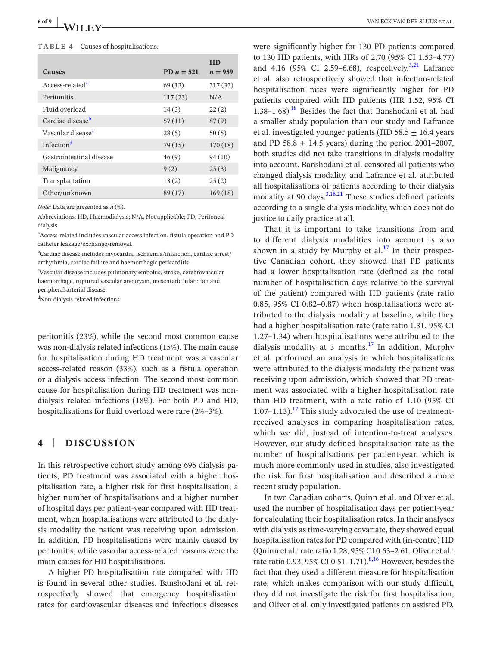#### <span id="page-5-0"></span>**TABLE 4** Causes of hospitalisations.

|                               |              | <b>HD</b> |
|-------------------------------|--------------|-----------|
| <b>Causes</b>                 | PD $n = 521$ | $n = 959$ |
| Access-related <sup>a</sup>   | 69(13)       | 317(33)   |
| Peritonitis                   | 117(23)      | N/A       |
| Fluid overload                | 14(3)        | 22(2)     |
| Cardiac disease <sup>b</sup>  | 57(11)       | 87(9)     |
| Vascular disease <sup>c</sup> | 28(5)        | 50(5)     |
| Infection <sup>d</sup>        | 79(15)       | 170(18)   |
| Gastrointestinal disease      | 46(9)        | 94(10)    |
| Malignancy                    | 9(2)         | 25(3)     |
| Transplantation               | 13(2)        | 25(2)     |
| Other/unknown                 | 89(17)       | 169(18)   |

*Note:* Data are presented as *n* (%).

Abbreviations: HD, Haemodialysis; N/A, Not applicable; PD, Peritoneal dialysis.

<span id="page-5-1"></span>a Access-related includes vascular access infection, fistula operation and PD catheter leakage/exchange/removal.

<span id="page-5-2"></span><sup>b</sup>Cardiac disease includes myocardial ischaemia/infarction, cardiac arrest/ arrhythmia, cardiac failure and haemorrhagic pericarditis.

<span id="page-5-3"></span>c Vascular disease includes pulmonary embolus, stroke, cerebrovascular haemorrhage, ruptured vascular aneurysm, mesenteric infarction and peripheral arterial disease.

<span id="page-5-4"></span>d Non-dialysis related infections.

peritonitis (23%), while the second most common cause was non-dialysis related infections (15%). The main cause for hospitalisation during HD treatment was a vascular access-related reason (33%), such as a fistula operation or a dialysis access infection. The second most common cause for hospitalisation during HD treatment was nondialysis related infections (18%). For both PD and HD, hospitalisations for fluid overload were rare (2%–3%).

# **4** | **DISCUSSION**

In this retrospective cohort study among 695 dialysis patients, PD treatment was associated with a higher hospitalisation rate, a higher risk for first hospitalisation, a higher number of hospitalisations and a higher number of hospital days per patient-year compared with HD treatment, when hospitalisations were attributed to the dialysis modality the patient was receiving upon admission. In addition, PD hospitalisations were mainly caused by peritonitis, while vascular access-related reasons were the main causes for HD hospitalisations.

A higher PD hospitalisation rate compared with HD is found in several other studies. Banshodani et al. retrospectively showed that emergency hospitalisation rates for cardiovascular diseases and infectious diseases

were significantly higher for 130 PD patients compared to 130 HD patients, with HRs of 2.70 (95% CI 1.53–4.77) and 4.16 (95% CI 2.59–6.68), respectively.<sup>[3,21](#page-7-6)</sup> Lafrance et al. also retrospectively showed that infection-related hospitalisation rates were significantly higher for PD patients compared with HD patients (HR 1.52, 95% CI 1.38–1.68).<sup>[18](#page-7-7)</sup> Besides the fact that Banshodani et al. had a smaller study population than our study and Lafrance et al. investigated younger patients (HD 58.5  $\pm$  16.4 years and PD 58.8  $\pm$  14.5 years) during the period 2001–2007, both studies did not take transitions in dialysis modality into account. Banshodani et al. censored all patients who changed dialysis modality, and Lafrance et al. attributed all hospitalisations of patients according to their dialysis modality at 90 days. $3,18,21$  These studies defined patients according to a single dialysis modality, which does not do justice to daily practice at all.

That it is important to take transitions from and to different dialysis modalities into account is also shown in a study by Murphy et al.<sup>[17](#page-7-8)</sup> In their prospective Canadian cohort, they showed that PD patients had a lower hospitalisation rate (defined as the total number of hospitalisation days relative to the survival of the patient) compared with HD patients (rate ratio 0.85, 95% CI 0.82–0.87) when hospitalisations were attributed to the dialysis modality at baseline, while they had a higher hospitalisation rate (rate ratio 1.31, 95% CI 1.27–1.34) when hospitalisations were attributed to the dialysis modality at 3 months. $^{17}$  $^{17}$  $^{17}$  In addition, Murphy et al. performed an analysis in which hospitalisations were attributed to the dialysis modality the patient was receiving upon admission, which showed that PD treatment was associated with a higher hospitalisation rate than HD treatment, with a rate ratio of 1.10 (95% CI 1.07–1.13).<sup>[17](#page-7-8)</sup> This study advocated the use of treatmentreceived analyses in comparing hospitalisation rates, which we did, instead of intention-to-treat analyses. However, our study defined hospitalisation rate as the number of hospitalisations per patient-year, which is much more commonly used in studies, also investigated the risk for first hospitalisation and described a more recent study population.

In two Canadian cohorts, Quinn et al. and Oliver et al. used the number of hospitalisation days per patient-year for calculating their hospitalisation rates. In their analyses with dialysis as time-varying covariate, they showed equal hospitalisation rates for PD compared with (in-centre) HD (Quinn et al.: rate ratio 1.28, 95% CI 0.63-2.61. Oliver et al.: rate ratio 0.93, 95% CI 0.51-1.71).<sup>[8,16](#page-7-9)</sup> However, besides the fact that they used a different measure for hospitalisation rate, which makes comparison with our study difficult, they did not investigate the risk for first hospitalisation, and Oliver et al. only investigated patients on assisted PD.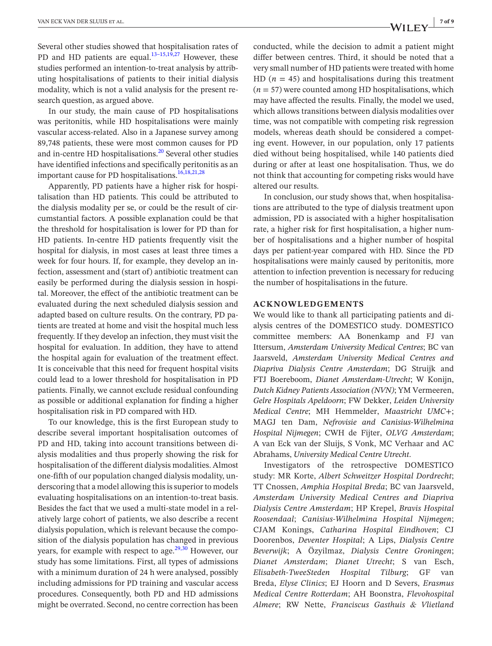Several other studies showed that hospitalisation rates of PD and HD patients are equal. $13-15,19,27$  However, these studies performed an intention-to-treat analysis by attributing hospitalisations of patients to their initial dialysis modality, which is not a valid analysis for the present research question, as argued above.

In our study, the main cause of PD hospitalisations was peritonitis, while HD hospitalisations were mainly vascular access-related. Also in a Japanese survey among 89,748 patients, these were most common causes for PD and in-centre HD hospitalisations.<sup>[20](#page-7-10)</sup> Several other studies have identified infections and specifically peritonitis as an important cause for PD hospitalisations.<sup>[16,18,21,28](#page-7-11)</sup>

Apparently, PD patients have a higher risk for hospitalisation than HD patients. This could be attributed to the dialysis modality per se, or could be the result of circumstantial factors. A possible explanation could be that the threshold for hospitalisation is lower for PD than for HD patients. In-centre HD patients frequently visit the hospital for dialysis, in most cases at least three times a week for four hours. If, for example, they develop an infection, assessment and (start of) antibiotic treatment can easily be performed during the dialysis session in hospital. Moreover, the effect of the antibiotic treatment can be evaluated during the next scheduled dialysis session and adapted based on culture results. On the contrary, PD patients are treated at home and visit the hospital much less frequently. If they develop an infection, they must visit the hospital for evaluation. In addition, they have to attend the hospital again for evaluation of the treatment effect. It is conceivable that this need for frequent hospital visits could lead to a lower threshold for hospitalisation in PD patients. Finally, we cannot exclude residual confounding as possible or additional explanation for finding a higher hospitalisation risk in PD compared with HD.

To our knowledge, this is the first European study to describe several important hospitalisation outcomes of PD and HD, taking into account transitions between dialysis modalities and thus properly showing the risk for hospitalisation of the different dialysis modalities. Almost one-fifth of our population changed dialysis modality, underscoring that a model allowing this is superior to models evaluating hospitalisations on an intention-to-treat basis. Besides the fact that we used a multi-state model in a relatively large cohort of patients, we also describe a recent dialysis population, which is relevant because the composition of the dialysis population has changed in previous years, for example with respect to age. $29,30$  However, our study has some limitations. First, all types of admissions with a minimum duration of 24 h were analysed, possibly including admissions for PD training and vascular access procedures. Consequently, both PD and HD admissions might be overrated. Second, no centre correction has been

conducted, while the decision to admit a patient might differ between centres. Third, it should be noted that a very small number of HD patients were treated with home HD  $(n = 45)$  and hospitalisations during this treatment  $(n = 57)$  were counted among HD hospitalisations, which may have affected the results. Finally, the model we used, which allows transitions between dialysis modalities over time, was not compatible with competing risk regression models, whereas death should be considered a competing event. However, in our population, only 17 patients died without being hospitalised, while 140 patients died during or after at least one hospitalisation. Thus, we do not think that accounting for competing risks would have altered our results.

In conclusion, our study shows that, when hospitalisations are attributed to the type of dialysis treatment upon admission, PD is associated with a higher hospitalisation rate, a higher risk for first hospitalisation, a higher number of hospitalisations and a higher number of hospital days per patient-year compared with HD. Since the PD hospitalisations were mainly caused by peritonitis, more attention to infection prevention is necessary for reducing the number of hospitalisations in the future.

# **ACKNOWLEDGEMENTS**

We would like to thank all participating patients and dialysis centres of the DOMESTICO study. DOMESTICO committee members: AA Bonenkamp and FJ van Ittersum, *Amsterdam University Medical Centres*; BC van Jaarsveld, *Amsterdam University Medical Centres and Diapriva Dialysis Centre Amsterdam*; DG Struijk and FTJ Boereboom, *Dianet Amsterdam-Utrecht*; W Konijn, *Dutch Kidney Patients Association (NVN)*; YM Vermeeren, *Gelre Hospitals Apeldoorn*; FW Dekker, *Leiden University Medical Centre*; MH Hemmelder, *Maastricht UMC*+; MAGJ ten Dam, *Nefrovisie and Canisius*-*Wilhelmina Hospital Nijmegen*; CWH de Fijter, *OLVG Amsterdam*; A van Eck van der Sluijs, S Vonk, MC Verhaar and AC Abrahams, *University Medical Centre Utrecht*.

Investigators of the retrospective DOMESTICO study: MR Korte, *Albert Schweitzer Hospital Dordrecht*; TT Cnossen, *Amphia Hospital Breda*; BC van Jaarsveld, *Amsterdam University Medical Centres and Diapriva Dialysis Centre Amsterdam*; HP Krepel, *Bravis Hospital Roosendaal*; *Canisius*-*Wilhelmina Hospital Nijmegen*; CJAM Konings, *Catharina Hospital Eindhoven*; CJ Doorenbos, *Deventer Hospital*; A Lips, *Dialysis Centre Beverwijk*; A Özyilmaz, *Dialysis Centre Groningen*; *Dianet Amsterdam*; *Dianet Utrecht*; S van Esch, *Elisabeth*-*TweeSteden Hospital Tilburg*; GF van Breda, *Elyse Clinics*; EJ Hoorn and D Severs, *Erasmus Medical Centre Rotterdam*; AH Boonstra, *Flevohospital Almere*; RW Nette, *Franciscus Gasthuis & Vlietland*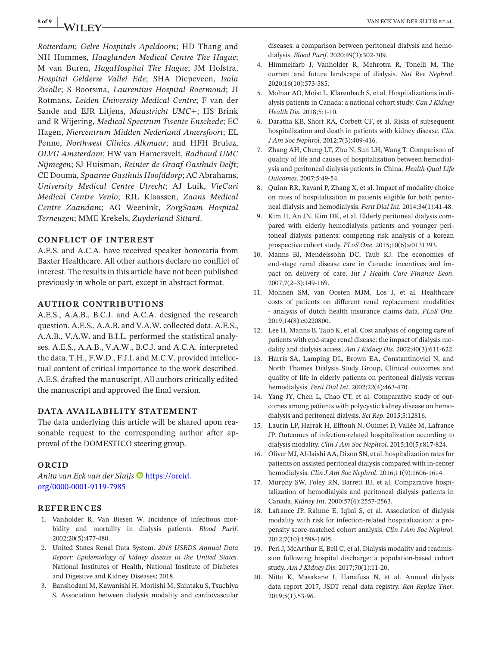*Rotterdam*; *Gelre Hospitals Apeldoorn*; HD Thang and NH Hommes, *Haaglanden Medical Centre The Hague*; M van Buren, *HagaHospital The Hague*; JM Hofstra, *Hospital Gelderse Vallei Ede*; SHA Diepeveen, *Isala Zwolle*; S Boorsma, *Laurentius Hospital Roermond*; JI Rotmans, *Leiden University Medical Centre*; F van der Sande and EJR Litjens, *Maastricht UMC*+; HS Brink and R Wijering, *Medical Spectrum Twente Enschede*; EC Hagen, *Niercentrum Midden Nederland Amersfoort*; EL Penne, *Northwest Clinics Alkmaar*; and HFH Brulez, *OLVG Amsterdam*; HW van Hamersvelt, *Radboud UMC Nijmegen*; SJ Huisman, *Reinier de Graaf Gasthuis Delft*; CE Douma, *Spaarne Gasthuis Hoofddorp*; AC Abrahams, *University Medical Centre Utrecht*; AJ Luik, *VieCuri Medical Centre Venlo*; RJL Klaassen, *Zaans Medical Centre Zaandam*; AG Weenink, *ZorgSaam Hospital Terneuzen*; MME Krekels, *Zuyderland Sittard*.

# **CONFLICT OF INTEREST**

A.E.S. and A.C.A. have received speaker honoraria from Baxter Healthcare. All other authors declare no conflict of interest. The results in this article have not been published previously in whole or part, except in abstract format.

# **AUTHOR CONTRIBUTIONS**

A.E.S., A.A.B., B.C.J. and A.C.A. designed the research question. A.E.S., A.A.B. and V.A.W. collected data. A.E.S., A.A.B., V.A.W. and B.I.L. performed the statistical analyses. A.E.S., A.A.B., V.A.W., B.C.J. and A.C.A. interpreted the data. T.H., F.W.D., F.J.I. and M.C.V. provided intellectual content of critical importance to the work described. A.E.S. drafted the manuscript. All authors critically edited the manuscript and approved the final version.

# **DATA AVAILABILITY STATEMENT**

The data underlying this article will be shared upon reasonable request to the corresponding author after approval of the DOMESTICO steering group.

## **ORCID**

*Anita van Eck van der Sluijs* [https://orcid.](https://orcid.org/0000-0001-9119-7985) [org/0000-0001-9119-7985](https://orcid.org/0000-0001-9119-7985)

#### **REFERENCES**

- <span id="page-7-0"></span>1. Vanholder R, Van Biesen W. Incidence of infectious morbidity and mortality in dialysis patients. *Blood Purif*. 2002;20(5):477-480.
- <span id="page-7-1"></span> 2. United States Renal Data System. *2018 USRDS Annual Data Report: Epidemiology of kidney disease in the United States*. National Institutes of Health, National Institute of Diabetes and Digestive and Kidney Diseases; 2018.
- <span id="page-7-6"></span> 3. Banshodani M, Kawanishi H, Moriishi M, Shintaku S, Tsuchiya S. Association between dialysis modality and cardiovascular

diseases: a comparison between peritoneal dialysis and hemodialysis. *Blood Purif*. 2020;49(3):302-309.

- 4. Himmelfarb J, Vanholder R, Mehrotra R, Tonelli M. The current and future landscape of dialysis. *Nat Rev Nephrol*. 2020;16(10):573-585.
- 5. Molnar AO, Moist L, Klarenbach S, et al. Hospitalizations in dialysis patients in Canada: a national cohort study. *Can J Kidney Health Dis*. 2018;5:1-10.
- <span id="page-7-2"></span> 6. Daratha KB, Short RA, Corbett CF, et al. Risks of subsequent hospitalization and death in patients with kidney disease. *Clin J Am Soc Nephrol*. 2012;7(3):409-416.
- <span id="page-7-3"></span> 7. Zhang AH, Cheng LT, Zhu N, Sun LH, Wang T. Comparison of quality of life and causes of hospitalization between hemodialysis and peritoneal dialysis patients in China. *Health Qual Life Outcomes*. 2007;5:49-54.
- <span id="page-7-9"></span> 8. Quinn RR, Ravani P, Zhang X, et al. Impact of modality choice on rates of hospitalization in patients eligible for both peritoneal dialysis and hemodialysis. *Perit Dial Int*. 2014;34(1):41-48.
- 9. Kim H, An JN, Kim DK, et al. Elderly peritoneal dialysis compared with elderly hemodialysis patients and younger peritoneal dialysis patients: competing risk analysis of a korean prospective cohort study. *PLoS One*. 2015;10(6):e0131393.
- <span id="page-7-4"></span> 10. Manns BJ, Mendelssohn DC, Taub KJ. The economics of end-stage renal disease care in Canada: incentives and impact on delivery of care. *Int J Health Care Finance Econ*. 2007;7(2–3):149-169.
- 11. Mohnen SM, van Oosten MJM, Los J, et al. Healthcare costs of patients on different renal replacement modalities - analysis of dutch health insurance claims data. *PLoS One*. 2019;14(8):e0220800.
- 12. Lee H, Manns B, Taub K, et al. Cost analysis of ongoing care of patients with end-stage renal disease: the impact of dialysis modality and dialysis access. *Am J Kidney Dis*. 2002;40(3):611-622.
- <span id="page-7-5"></span>13. Harris SA, Lamping DL, Brown EA, Constantinovici N, and North Thames Dialysis Study Group, Clinical outcomes and quality of life in elderly patients on peritoneal dialysis versus hemodialysis. *Perit Dial Int*. 2002;22(4):463-470.
- 14. Yang JY, Chen L, Chao CT, et al. Comparative study of outcomes among patients with polycystic kidney disease on hemodialysis and peritoneal dialysis. *Sci Rep*. 2015;5:12816.
- 15. Laurin LP, Harrak H, Elftouh N, Ouimet D, Vallée M, Lafrance JP. Outcomes of infection-related hospitalization according to dialysis modality. *Clin J Am Soc Nephrol*. 2015;10(5):817-824.
- <span id="page-7-11"></span> 16. Oliver MJ, Al-Jaishi AA, Dixon SN, et al. hospitalization ratesfor patients on assisted peritoneal dialysis compared with in-center hemodialysis. *Clin J Am Soc Nephrol*. 2016;11(9):1606-1614.
- <span id="page-7-8"></span>17. Murphy SW, Foley RN, Barrett BJ, et al. Comparative hospitalization of hemodialysis and peritoneal dialysis patients in Canada. *Kidney Int*. 2000;57(6):2557-2563.
- <span id="page-7-7"></span> 18. Lafrance JP, Rahme E, Iqbal S, et al. Association of dialysis modality with risk for infection-related hospitalization: a propensity score-matched cohort analysis. *Clin J Am Soc Nephrol*. 2012;7(10):1598-1605.
- 19. Perl J, McArthur E, Bell C, et al. Dialysis modality and readmission following hospital discharge: a population-based cohort study. *Am J Kidney Dis*. 2017;70(1):11-20.
- <span id="page-7-10"></span> 20. Nitta K, Masakane I, Hanafusa N, et al. Annual dialysis data report 2017, JSDT renal data registry. *Ren Replac Ther*. 2019;5(1).53-96.